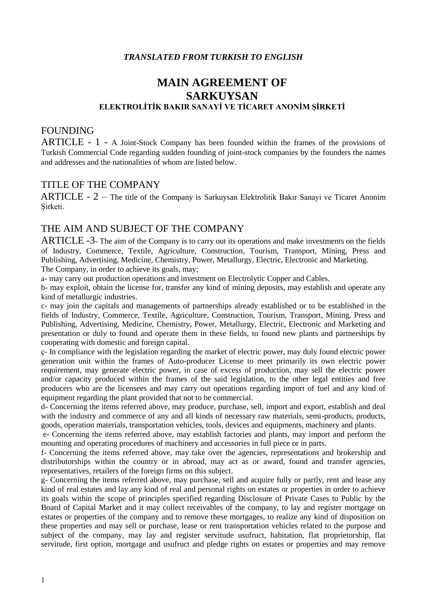#### *TRANSLATED FROM TURKISH TO ENGLISH*

# **MAIN AGREEMENT OF SARKUYSAN ELEKTROLİTİK BAKIR SANAYİ VE TİCARET ANONİM ŞİRKETİ**

#### FOUNDING

ARTICLE - 1 - A Joint-Stock Company has been founded within the frames of the provisions of Turkish Commercial Code regarding sudden founding of joint-stock companies by the founders the names and addresses and the nationalities of whom are listed below.

#### TITLE OF THE COMPANY

 ARTICLE - 2 – The title of the Company is Sarkuysan Elektrolitik Bakır Sanayi ve Ticaret Anonim Sirketi.

#### THE AIM AND SUBJECT OF THE COMPANY

ARTICLE -3- The aim of the Company is to carry out its operations and make investments on the fields of Industry, Commerce, Textile, Agriculture, Construction, Tourism, Transport, Mining, Press and Publishing, Advertising, Medicine, Chemistry, Power, Metallurgy, Electric, Electronic and Marketing. The Company, in order to achieve its goals, may;

a- may carry out production operations and investment on Electrolytic Copper and Cables.

b- may exploit, obtain the license for, transfer any kind of mining deposits, may establish and operate any kind of metallurgic industries.

c- may join the capitals and managements of partnerships already established or to be established in the fields of Industry, Commerce, Textile, Agriculture, Construction, Tourism, Transport, Mining, Press and Publishing, Advertising, Medicine, Chemistry, Power, Metallurgy, Electric, Electronic and Marketing and presentation or duly to found and operate them in these fields, to found new plants and partnerships by cooperating with domestic and foreign capital.

ç- In compliance with the legislation regarding the market of electric power, may duly found electric power generation unit within the frames of Auto-producer License to meet primarily its own electric power requirement, may generate electric power, in case of excess of production, may sell the electric power and/or capacity produced within the frames of the said legislation, to the other legal entities and free producers who are the licensees and may carry out operations regarding import of fuel and any kind of equipment regarding the plant provided that not to be commercial.

d- Concerning the items referred above, may produce, purchase, sell, import and export, establish and deal with the industry and commerce of any and all kinds of necessary raw materials, semi-products, products, goods, operation materials, transportation vehicles, tools, devices and equipments, machinery and plants.

e- Concerning the items referred above, may establish factories and plants, may import and perform the mounting and operating procedures of machinery and accessories in full piece or in parts.

f- Concerning the items referred above, may take over the agencies, representations and brokership and distributorships within the country or in abroad, may act as or award, found and transfer agencies, representatives, retailers of the foreign firms on this subject.

g- Concerning the items referred above, may purchase, sell and acquire fully or partly, rent and lease any kind of real estates and lay any kind of real and personal rights on estates or properties in order to achieve its goals within the scope of principles specified regarding Disclosure of Private Cases to Public by the Board of Capital Market and it may collect receivables of the company, to lay and register mortgage on estates or properties of the company and to remove these mortgages, to realize any kind of disposition on these properties and may sell or purchase, lease or rent transportation vehicles related to the purpose and subject of the company, may lay and register servitude usufruct, habitation, flat proprietorship, flat servitude, first option, mortgage and usufruct and pledge rights on estates or properties and may remove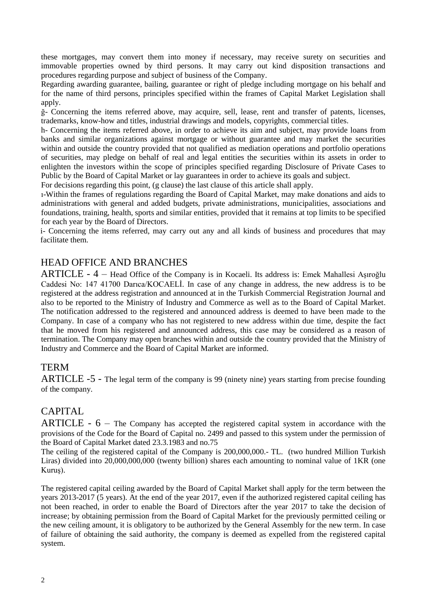these mortgages, may convert them into money if necessary, may receive surety on securities and immovable properties owned by third persons. It may carry out kind disposition transactions and procedures regarding purpose and subject of business of the Company.

Regarding awarding guarantee, bailing, guarantee or right of pledge including mortgage on his behalf and for the name of third persons, principles specified within the frames of Capital Market Legislation shall apply.

ğ- Concerning the items referred above, may acquire, sell, lease, rent and transfer of patents, licenses, trademarks, know-how and titles, industrial drawings and models, copyrights, commercial titles.

h- Concerning the items referred above, in order to achieve its aim and subject, may provide loans from banks and similar organizations against mortgage or without guarantee and may market the securities within and outside the country provided that not qualified as mediation operations and portfolio operations of securities, may pledge on behalf of real and legal entities the securities within its assets in order to enlighten the investors within the scope of principles specified regarding Disclosure of Private Cases to Public by the Board of Capital Market or lay guarantees in order to achieve its goals and subject.

For decisions regarding this point, (g clause) the last clause of this article shall apply.

ı-Within the frames of regulations regarding the Board of Capital Market, may make donations and aids to administrations with general and added budgets, private administrations, municipalities, associations and foundations, training, health, sports and similar entities, provided that it remains at top limits to be specified for each year by the Board of Directors.

i- Concerning the items referred, may carry out any and all kinds of business and procedures that may facilitate them.

#### HEAD OFFICE AND BRANCHES

 ARTICLE - 4 – Head Office of the Company is in Kocaeli. Its address is: Emek Mahallesi Aşıroğlu Caddesi No: 147 41700 Darıca/KOCAELİ. In case of any change in address, the new address is to be registered at the address registration and announced at in the Turkish Commercial Registration Journal and also to be reported to the Ministry of Industry and Commerce as well as to the Board of Capital Market. The notification addressed to the registered and announced address is deemed to have been made to the Company. In case of a company who has not registered to new address within due time, despite the fact that he moved from his registered and announced address, this case may be considered as a reason of termination. The Company may open branches within and outside the country provided that the Ministry of Industry and Commerce and the Board of Capital Market are informed.

#### TERM

ARTICLE -5 - The legal term of the company is 99 (ninety nine) years starting from precise founding of the company.

#### CAPITAL

ARTICLE -  $6 -$  The Company has accepted the registered capital system in accordance with the provisions of the Code for the Board of Capital no. 2499 and passed to this system under the permission of the Board of Capital Market dated 23.3.1983 and no.75

The ceiling of the registered capital of the Company is 200,000,000.- TL. (two hundred Million Turkish Liras) divided into 20,000,000,000 (twenty billion) shares each amounting to nominal value of 1KR (one Kuruş).

The registered capital ceiling awarded by the Board of Capital Market shall apply for the term between the years 2013-2017 (5 years). At the end of the year 2017, even if the authorized registered capital ceiling has not been reached, in order to enable the Board of Directors after the year 2017 to take the decision of increase; by obtaining permission from the Board of Capital Market for the previously permitted ceiling or the new ceiling amount, it is obligatory to be authorized by the General Assembly for the new term. In case of failure of obtaining the said authority, the company is deemed as expelled from the registered capital system.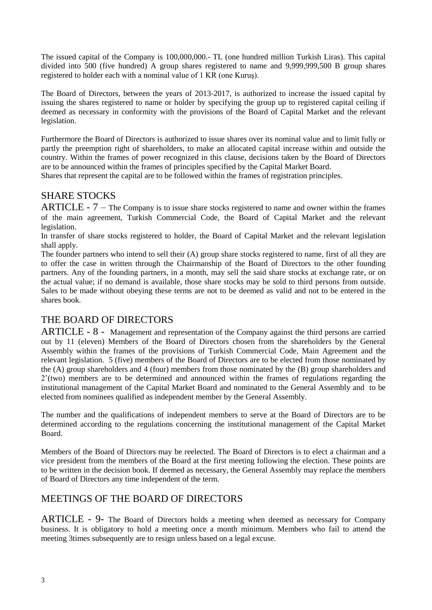The issued capital of the Company is 100,000,000.- TL (one hundred million Turkish Liras). This capital divided into 500 (five hundred) A group shares registered to name and 9,999,999,500 B group shares registered to holder each with a nominal value of 1 KR (one Kuruş).

The Board of Directors, between the years of 2013-2017, is authorized to increase the issued capital by issuing the shares registered to name or holder by specifying the group up to registered capital ceiling if deemed as necessary in conformity with the provisions of the Board of Capital Market and the relevant legislation.

Furthermore the Board of Directors is authorized to issue shares over its nominal value and to limit fully or partly the preemption right of shareholders, to make an allocated capital increase within and outside the country. Within the frames of power recognized in this clause, decisions taken by the Board of Directors are to be announced within the frames of principles specified by the Capital Market Board.

Shares that represent the capital are to be followed within the frames of registration principles.

## SHARE STOCKS

ARTICLE - 7 – The Company is to issue share stocks registered to name and owner within the frames of the main agreement, Turkish Commercial Code, the Board of Capital Market and the relevant legislation.

In transfer of share stocks registered to holder, the Board of Capital Market and the relevant legislation shall apply.

The founder partners who intend to sell their (A) group share stocks registered to name, first of all they are to offer the case in written through the Chairmanship of the Board of Directors to the other founding partners. Any of the founding partners, in a month, may sell the said share stocks at exchange rate, or on the actual value; if no demand is available, those share stocks may be sold to third persons from outside. Sales to be made without obeying these terms are not to be deemed as valid and not to be entered in the shares book.

## THE BOARD OF DIRECTORS

ARTICLE - 8 - Management and representation of the Company against the third persons are carried out by 11 (eleven) Members of the Board of Directors chosen from the shareholders by the General Assembly within the frames of the provisions of Turkish Commercial Code, Main Agreement and the relevant legislation. 5 (five) members of the Board of Directors are to be elected from those nominated by the (A) group shareholders and 4 (four) members from those nominated by the (B) group shareholders and 2'(two) members are to be determined and announced within the frames of regulations regarding the institutional management of the Capital Market Board and nominated to the General Assembly and to be elected from nominees qualified as independent member by the General Assembly.

The number and the qualifications of independent members to serve at the Board of Directors are to be determined according to the regulations concerning the institutional management of the Capital Market Board.

Members of the Board of Directors may be reelected. The Board of Directors is to elect a chairman and a vice president from the members of the Board at the first meeting following the election. These points are to be written in the decision book. If deemed as necessary, the General Assembly may replace the members of Board of Directors any time independent of the term.

## MEETINGS OF THE BOARD OF DIRECTORS

ARTICLE - 9- The Board of Directors holds a meeting when deemed as necessary for Company business. It is obligatory to hold a meeting once a month minimum. Members who fail to attend the meeting 3times subsequently are to resign unless based on a legal excuse.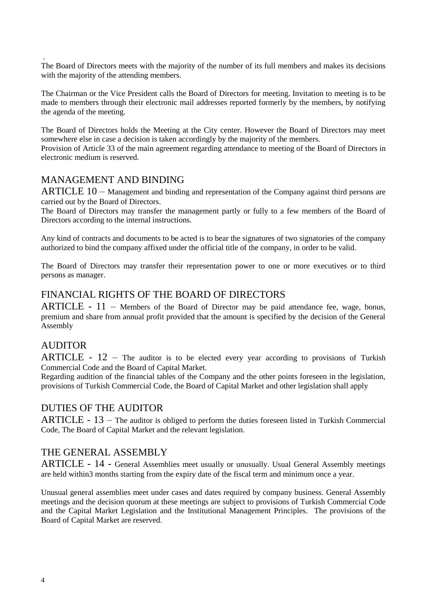. The Board of Directors meets with the majority of the number of its full members and makes its decisions with the majority of the attending members.

The Chairman or the Vice President calls the Board of Directors for meeting. Invitation to meeting is to be made to members through their electronic mail addresses reported formerly by the members, by notifying the agenda of the meeting.

The Board of Directors holds the Meeting at the City center. However the Board of Directors may meet somewhere else in case a decision is taken accordingly by the majority of the members.

Provision of Article 33 of the main agreement regarding attendance to meeting of the Board of Directors in electronic medium is reserved.

#### MANAGEMENT AND BINDING

ARTICLE 10 – Management and binding and representation of the Company against third persons are carried out by the Board of Directors.

The Board of Directors may transfer the management partly or fully to a few members of the Board of Directors according to the internal instructions.

Any kind of contracts and documents to be acted is to bear the signatures of two signatories of the company authorized to bind the company affixed under the official title of the company, in order to be valid.

The Board of Directors may transfer their representation power to one or more executives or to third persons as manager.

## FINANCIAL RIGHTS OF THE BOARD OF DIRECTORS

ARTICLE - 11 – Members of the Board of Director may be paid attendance fee, wage, bonus, premium and share from annual profit provided that the amount is specified by the decision of the General Assembly

#### **AUDITOR**

ARTICLE -  $12$  – The auditor is to be elected every year according to provisions of Turkish Commercial Code and the Board of Capital Market.

Regarding audition of the financial tables of the Company and the other points foreseen in the legislation, provisions of Turkish Commercial Code, the Board of Capital Market and other legislation shall apply

#### DUTIES OF THE AUDITOR

ARTICLE - 13 – The auditor is obliged to perform the duties foreseen listed in Turkish Commercial Code, The Board of Capital Market and the relevant legislation.

## THE GENERAL ASSEMBLY

ARTICLE - 14 - General Assemblies meet usually or unusually. Usual General Assembly meetings are held within3 months starting from the expiry date of the fiscal term and minimum once a year.

Unusual general assemblies meet under cases and dates required by company business. General Assembly meetings and the decision quorum at these meetings are subject to provisions of Turkish Commercial Code and the Capital Market Legislation and the Institutional Management Principles. The provisions of the Board of Capital Market are reserved.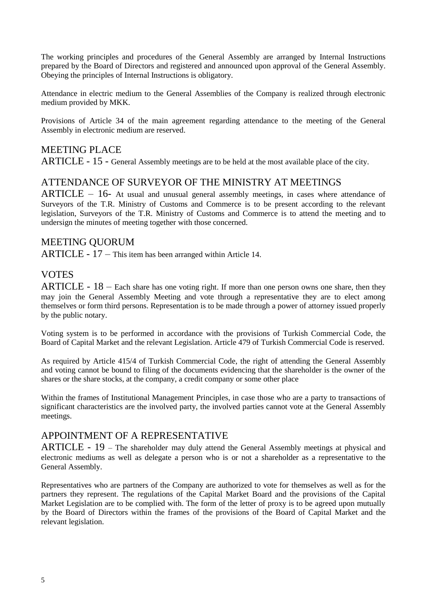The working principles and procedures of the General Assembly are arranged by Internal Instructions prepared by the Board of Directors and registered and announced upon approval of the General Assembly. Obeying the principles of Internal Instructions is obligatory.

Attendance in electric medium to the General Assemblies of the Company is realized through electronic medium provided by MKK.

Provisions of Article 34 of the main agreement regarding attendance to the meeting of the General Assembly in electronic medium are reserved.

## MEETING PLACE

ARTICLE - 15 - General Assembly meetings are to be held at the most available place of the city.

#### ATTENDANCE OF SURVEYOR OF THE MINISTRY AT MEETINGS

 $ARTICLE - 16$ - At usual and unusual general assembly meetings, in cases where attendance of Surveyors of the T.R. Ministry of Customs and Commerce is to be present according to the relevant legislation, Surveyors of the T.R. Ministry of Customs and Commerce is to attend the meeting and to undersign the minutes of meeting together with those concerned.

#### MEETING QUORUM

ARTICLE - 17 – This item has been arranged within Article 14.

#### VOTES

ARTICLE - 18 – Each share has one voting right. If more than one person owns one share, then they may join the General Assembly Meeting and vote through a representative they are to elect among themselves or form third persons. Representation is to be made through a power of attorney issued properly by the public notary.

Voting system is to be performed in accordance with the provisions of Turkish Commercial Code, the Board of Capital Market and the relevant Legislation. Article 479 of Turkish Commercial Code is reserved.

As required by Article 415/4 of Turkish Commercial Code, the right of attending the General Assembly and voting cannot be bound to filing of the documents evidencing that the shareholder is the owner of the shares or the share stocks, at the company, a credit company or some other place

Within the frames of Institutional Management Principles, in case those who are a party to transactions of significant characteristics are the involved party, the involved parties cannot vote at the General Assembly meetings.

#### APPOINTMENT OF A REPRESENTATIVE

ARTICLE - 19 – The shareholder may duly attend the General Assembly meetings at physical and electronic mediums as well as delegate a person who is or not a shareholder as a representative to the General Assembly.

Representatives who are partners of the Company are authorized to vote for themselves as well as for the partners they represent. The regulations of the Capital Market Board and the provisions of the Capital Market Legislation are to be complied with. The form of the letter of proxy is to be agreed upon mutually by the Board of Directors within the frames of the provisions of the Board of Capital Market and the relevant legislation.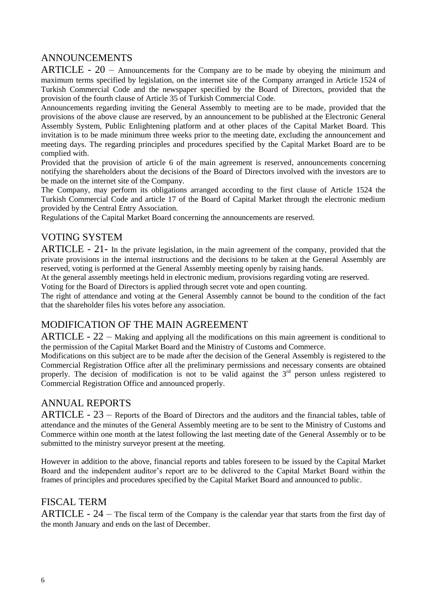## ANNOUNCEMENTS

ARTICLE - 20 – Announcements for the Company are to be made by obeying the minimum and maximum terms specified by legislation, on the internet site of the Company arranged in Article 1524 of Turkish Commercial Code and the newspaper specified by the Board of Directors, provided that the provision of the fourth clause of Article 35 of Turkish Commercial Code.

Announcements regarding inviting the General Assembly to meeting are to be made, provided that the provisions of the above clause are reserved, by an announcement to be published at the Electronic General Assembly System, Public Enlightening platform and at other places of the Capital Market Board. This invitation is to be made minimum three weeks prior to the meeting date, excluding the announcement and meeting days. The regarding principles and procedures specified by the Capital Market Board are to be complied with.

Provided that the provision of article 6 of the main agreement is reserved, announcements concerning notifying the shareholders about the decisions of the Board of Directors involved with the investors are to be made on the internet site of the Company.

The Company, may perform its obligations arranged according to the first clause of Article 1524 the Turkish Commercial Code and article 17 of the Board of Capital Market through the electronic medium provided by the Central Entry Association.

Regulations of the Capital Market Board concerning the announcements are reserved.

## VOTING SYSTEM

ARTICLE - 21- In the private legislation, in the main agreement of the company, provided that the private provisions in the internal instructions and the decisions to be taken at the General Assembly are reserved, voting is performed at the General Assembly meeting openly by raising hands.

At the general assembly meetings held in electronic medium, provisions regarding voting are reserved.

Voting for the Board of Directors is applied through secret vote and open counting.

The right of attendance and voting at the General Assembly cannot be bound to the condition of the fact that the shareholder files his votes before any association.

#### MODIFICATION OF THE MAIN AGREEMENT

ARTICLE - 22 – Making and applying all the modifications on this main agreement is conditional to the permission of the Capital Market Board and the Ministry of Customs and Commerce.

Modifications on this subject are to be made after the decision of the General Assembly is registered to the Commercial Registration Office after all the preliminary permissions and necessary consents are obtained properly. The decision of modification is not to be valid against the  $3<sup>rd</sup>$  person unless registered to Commercial Registration Office and announced properly.

## ANNUAL REPORTS

ARTICLE - 23 – Reports of the Board of Directors and the auditors and the financial tables, table of attendance and the minutes of the General Assembly meeting are to be sent to the Ministry of Customs and Commerce within one month at the latest following the last meeting date of the General Assembly or to be submitted to the ministry surveyor present at the meeting.

However in addition to the above, financial reports and tables foreseen to be issued by the Capital Market Board and the independent auditor's report are to be delivered to the Capital Market Board within the frames of principles and procedures specified by the Capital Market Board and announced to public.

#### FISCAL TERM

ARTICLE - 24 – The fiscal term of the Company is the calendar year that starts from the first day of the month January and ends on the last of December.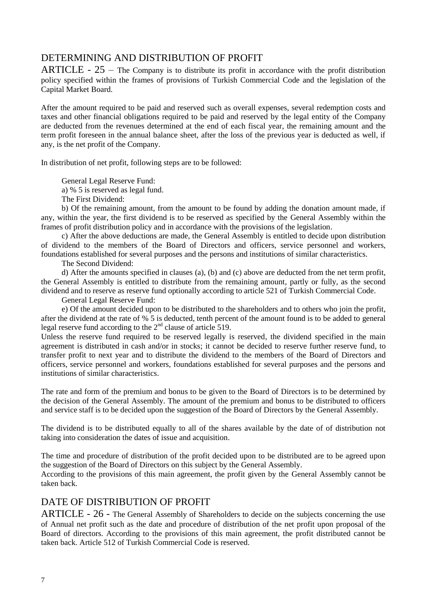## DETERMINING AND DISTRIBUTION OF PROFIT

ARTICLE -  $25$  – The Company is to distribute its profit in accordance with the profit distribution policy specified within the frames of provisions of Turkish Commercial Code and the legislation of the Capital Market Board.

After the amount required to be paid and reserved such as overall expenses, several redemption costs and taxes and other financial obligations required to be paid and reserved by the legal entity of the Company are deducted from the revenues determined at the end of each fiscal year, the remaining amount and the term profit foreseen in the annual balance sheet, after the loss of the previous year is deducted as well, if any, is the net profit of the Company.

In distribution of net profit, following steps are to be followed:

General Legal Reserve Fund:

a) % 5 is reserved as legal fund.

The First Dividend:

b) Of the remaining amount, from the amount to be found by adding the donation amount made, if any, within the year, the first dividend is to be reserved as specified by the General Assembly within the frames of profit distribution policy and in accordance with the provisions of the legislation.

c) After the above deductions are made, the General Assembly is entitled to decide upon distribution of dividend to the members of the Board of Directors and officers, service personnel and workers, foundations established for several purposes and the persons and institutions of similar characteristics.

The Second Dividend:

d) After the amounts specified in clauses (a), (b) and (c) above are deducted from the net term profit, the General Assembly is entitled to distribute from the remaining amount, partly or fully, as the second dividend and to reserve as reserve fund optionally according to article 521 of Turkish Commercial Code.

General Legal Reserve Fund:

e) Of the amount decided upon to be distributed to the shareholders and to others who join the profit, after the dividend at the rate of % 5 is deducted, tenth percent of the amount found is to be added to general legal reserve fund according to the  $2<sup>nd</sup>$  clause of article 519.

Unless the reserve fund required to be reserved legally is reserved, the dividend specified in the main agreement is distributed in cash and/or in stocks; it cannot be decided to reserve further reserve fund, to transfer profit to next year and to distribute the dividend to the members of the Board of Directors and officers, service personnel and workers, foundations established for several purposes and the persons and institutions of similar characteristics.

The rate and form of the premium and bonus to be given to the Board of Directors is to be determined by the decision of the General Assembly. The amount of the premium and bonus to be distributed to officers and service staff is to be decided upon the suggestion of the Board of Directors by the General Assembly.

The dividend is to be distributed equally to all of the shares available by the date of of distribution not taking into consideration the dates of issue and acquisition.

The time and procedure of distribution of the profit decided upon to be distributed are to be agreed upon the suggestion of the Board of Directors on this subject by the General Assembly.

According to the provisions of this main agreement, the profit given by the General Assembly cannot be taken back.

#### DATE OF DISTRIBUTION OF PROFIT

ARTICLE - 26 - The General Assembly of Shareholders to decide on the subjects concerning the use of Annual net profit such as the date and procedure of distribution of the net profit upon proposal of the Board of directors. According to the provisions of this main agreement, the profit distributed cannot be taken back. Article 512 of Turkish Commercial Code is reserved.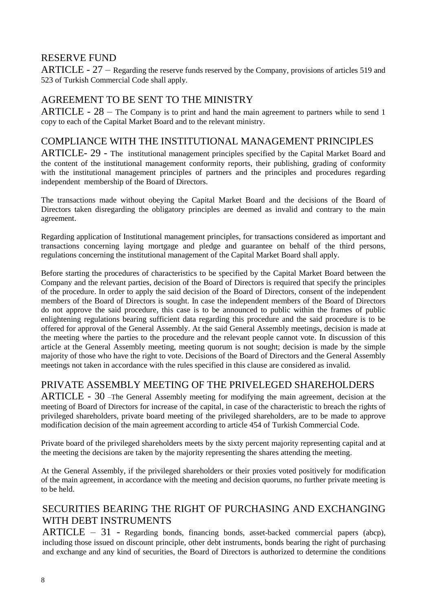#### RESERVE FUND

ARTICLE - 27 – Regarding the reserve funds reserved by the Company, provisions of articles 519 and 523 of Turkish Commercial Code shall apply.

## AGREEMENT TO BE SENT TO THE MINISTRY

ARTICLE -  $28$  – The Company is to print and hand the main agreement to partners while to send 1 copy to each of the Capital Market Board and to the relevant ministry.

#### COMPLIANCE WITH THE INSTITUTIONAL MANAGEMENT PRINCIPLES

ARTICLE- 29 - The institutional management principles specified by the Capital Market Board and the content of the institutional management conformity reports, their publishing, grading of conformity with the institutional management principles of partners and the principles and procedures regarding independent membership of the Board of Directors.

The transactions made without obeying the Capital Market Board and the decisions of the Board of Directors taken disregarding the obligatory principles are deemed as invalid and contrary to the main agreement.

Regarding application of Institutional management principles, for transactions considered as important and transactions concerning laying mortgage and pledge and guarantee on behalf of the third persons, regulations concerning the institutional management of the Capital Market Board shall apply.

Before starting the procedures of characteristics to be specified by the Capital Market Board between the Company and the relevant parties, decision of the Board of Directors is required that specify the principles of the procedure. In order to apply the said decision of the Board of Directors, consent of the independent members of the Board of Directors is sought. In case the independent members of the Board of Directors do not approve the said procedure, this case is to be announced to public within the frames of public enlightening regulations bearing sufficient data regarding this procedure and the said procedure is to be offered for approval of the General Assembly. At the said General Assembly meetings, decision is made at the meeting where the parties to the procedure and the relevant people cannot vote. In discussion of this article at the General Assembly meeting, meeting quorum is not sought; decision is made by the simple majority of those who have the right to vote. Decisions of the Board of Directors and the General Assembly meetings not taken in accordance with the rules specified in this clause are considered as invalid.

## PRIVATE ASSEMBLY MEETING OF THE PRIVELEGED SHAREHOLDERS

ARTICLE - 30 –The General Assembly meeting for modifying the main agreement, decision at the meeting of Board of Directors for increase of the capital, in case of the characteristic to breach the rights of privileged shareholders, private board meeting of the privileged shareholders, are to be made to approve modification decision of the main agreement according to article 454 of Turkish Commercial Code.

Private board of the privileged shareholders meets by the sixty percent majority representing capital and at the meeting the decisions are taken by the majority representing the shares attending the meeting.

At the General Assembly, if the privileged shareholders or their proxies voted positively for modification of the main agreement, in accordance with the meeting and decision quorums, no further private meeting is to be held.

## SECURITIES BEARING THE RIGHT OF PURCHASING AND EXCHANGING WITH DEBT INSTRUMENTS

 $ARTICLE - 31$  - Regarding bonds, financing bonds, asset-backed commercial papers (abcp), including those issued on discount principle, other debt instruments, bonds bearing the right of purchasing and exchange and any kind of securities, the Board of Directors is authorized to determine the conditions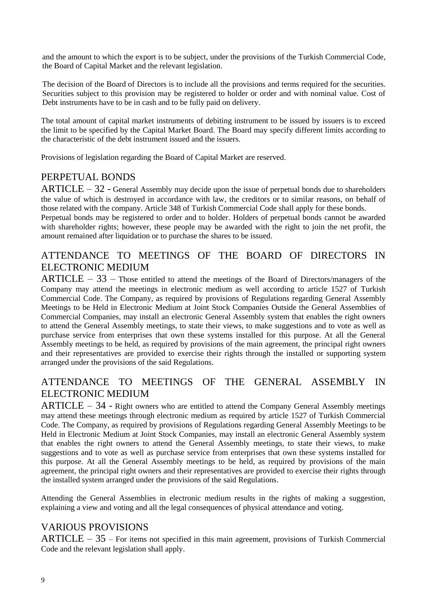and the amount to which the export is to be subject, under the provisions of the Turkish Commercial Code, the Board of Capital Market and the relevant legislation.

The decision of the Board of Directors is to include all the provisions and terms required for the securities. Securities subject to this provision may be registered to holder or order and with nominal value. Cost of Debt instruments have to be in cash and to be fully paid on delivery.

The total amount of capital market instruments of debiting instrument to be issued by issuers is to exceed the limit to be specified by the Capital Market Board. The Board may specify different limits according to the characteristic of the debt instrument issued and the issuers.

Provisions of legislation regarding the Board of Capital Market are reserved.

## PERPETUAL BONDS

 $ARTICLE - 32$  - General Assembly may decide upon the issue of perpetual bonds due to shareholders the value of which is destroyed in accordance with law, the creditors or to similar reasons, on behalf of those related with the company. Article 348 of Turkish Commercial Code shall apply for these bonds.

Perpetual bonds may be registered to order and to holder. Holders of perpetual bonds cannot be awarded with shareholder rights; however, these people may be awarded with the right to join the net profit, the amount remained after liquidation or to purchase the shares to be issued.

# ATTENDANCE TO MEETINGS OF THE BOARD OF DIRECTORS IN ELECTRONIC MEDIUM

 $ARTICLE - 33$  – Those entitled to attend the meetings of the Board of Directors/managers of the Company may attend the meetings in electronic medium as well according to article 1527 of Turkish Commercial Code. The Company, as required by provisions of Regulations regarding General Assembly Meetings to be Held in Electronic Medium at Joint Stock Companies Outside the General Assemblies of Commercial Companies, may install an electronic General Assembly system that enables the right owners to attend the General Assembly meetings, to state their views, to make suggestions and to vote as well as purchase service from enterprises that own these systems installed for this purpose. At all the General Assembly meetings to be held, as required by provisions of the main agreement, the principal right owners and their representatives are provided to exercise their rights through the installed or supporting system arranged under the provisions of the said Regulations.

## ATTENDANCE TO MEETINGS OF THE GENERAL ASSEMBLY IN ELECTRONIC MEDIUM

 $ARTICLE - 34$  - Right owners who are entitled to attend the Company General Assembly meetings may attend these meetings through electronic medium as required by article 1527 of Turkish Commercial Code. The Company, as required by provisions of Regulations regarding General Assembly Meetings to be Held in Electronic Medium at Joint Stock Companies, may install an electronic General Assembly system that enables the right owners to attend the General Assembly meetings, to state their views, to make suggestions and to vote as well as purchase service from enterprises that own these systems installed for this purpose. At all the General Assembly meetings to be held, as required by provisions of the main agreement, the principal right owners and their representatives are provided to exercise their rights through the installed system arranged under the provisions of the said Regulations.

Attending the General Assemblies in electronic medium results in the rights of making a suggestion, explaining a view and voting and all the legal consequences of physical attendance and voting.

#### VARIOUS PROVISIONS

 $ARTICLE - 35$  – For items not specified in this main agreement, provisions of Turkish Commercial Code and the relevant legislation shall apply.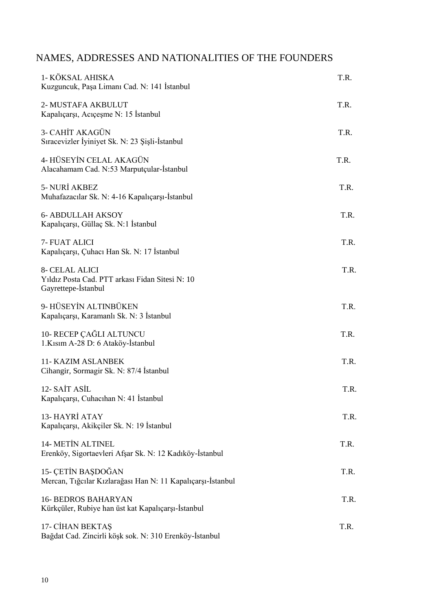# NAMES, ADDRESSES AND NATIONALITIES OF THE FOUNDERS

| 1- KÖKSAL AHISKA<br>Kuzguncuk, Paşa Limanı Cad. N: 141 İstanbul                                 | T.R. |
|-------------------------------------------------------------------------------------------------|------|
| 2- MUSTAFA AKBULUT<br>Kapaliçarşı, Aciçeşme N: 15 İstanbul                                      | T.R. |
| 3- CAHİT AKAGÜN<br>Sıracevizler İyiniyet Sk. N: 23 Şişli-İstanbul                               | T.R. |
| 4- HÜSEYİN CELAL AKAGÜN<br>Alacahamam Cad. N:53 Marputçular-İstanbul                            | T.R. |
| 5- NURİ AKBEZ<br>Muhafazacılar Sk. N: 4-16 Kapalıçarşı-İstanbul                                 | T.R. |
| <b>6- ABDULLAH AKSOY</b><br>Kapalıçarşı, Güllaç Sk. N:1 İstanbul                                | T.R. |
| 7- FUAT ALICI<br>Kapaliçarşı, Çuhacı Han Sk. N: 17 İstanbul                                     | T.R. |
| <b>8- CELAL ALICI</b><br>Yıldız Posta Cad. PTT arkası Fidan Sitesi N: 10<br>Gayrettepe-Istanbul | T.R. |
| 9- HÜSEYİN ALTINBÜKEN<br>Kapalıçarşı, Karamanlı Sk. N: 3 İstanbul                               | T.R. |
| 10- RECEP ÇAĞLI ALTUNCU<br>1.Kisim A-28 D: 6 Ataköy-İstanbul                                    | T.R. |
| <b>11- KAZIM ASLANBEK</b><br>Cihangir, Sormagir Sk. N: 87/4 Istanbul                            | T.R. |
| 12- SAİT ASİL<br>Kapalıçarşı, Cuhacıhan N: 41 İstanbul                                          | T.R. |
| 13-HAYRİ ATAY<br>Kapalıçarşı, Akikçiler Sk. N: 19 İstanbul                                      | T.R. |
| <b>14- METIN ALTINEL</b><br>Erenköy, Sigortaevleri Afşar Sk. N: 12 Kadıköy-İstanbul             | T.R. |
| 15- ÇETİN BAŞDOĞAN<br>Mercan, Tiğcilar Kızlarağası Han N: 11 Kapalıçarşı-İstanbul               | T.R. |
| <b>16- BEDROS BAHARYAN</b><br>Kürkçüler, Rubiye han üst kat Kapalıçarşı-İstanbul                | T.R. |
| 17- CİHAN BEKTAŞ<br>Bağdat Cad. Zincirli köşk sok. N: 310 Erenköy-İstanbul                      | T.R. |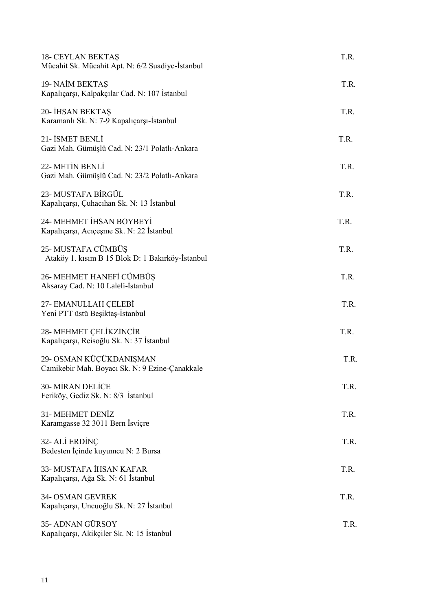| <b>18- CEYLAN BEKTAS</b><br>Mücahit Sk. Mücahit Apt. N: 6/2 Suadiye-İstanbul | T.R. |
|------------------------------------------------------------------------------|------|
| 19-NAİM BEKTAŞ<br>Kapalıçarşı, Kalpakçılar Cad. N: 107 İstanbul              | T.R. |
| 20- İHSAN BEKTAŞ<br>Karamanlı Sk. N: 7-9 Kapalıçarşı-İstanbul                | T.R. |
| 21- İSMET BENLİ<br>Gazi Mah. Gümüşlü Cad. N: 23/1 Polatlı-Ankara             | T.R. |
| 22- METİN BENLİ<br>Gazi Mah. Gümüşlü Cad. N: 23/2 Polatlı-Ankara             | T.R. |
| 23- MUSTAFA BİRGÜL<br>Kapalıçarşı, Çuhacıhan Sk. N: 13 İstanbul              | T.R. |
| 24- MEHMET İHSAN BOYBEYİ<br>Kapaliçarşı, Aciçeşme Sk. N: 22 İstanbul         | T.R. |
| 25- MUSTAFA CÜMBÜŞ<br>Ataköy 1. kısım B 15 Blok D: 1 Bakırköy-İstanbul       | T.R. |
| 26- MEHMET HANEFİ CÜMBÜŞ<br>Aksaray Cad. N: 10 Laleli-İstanbul               | T.R. |
| 27- EMANULLAH ÇELEBİ<br>Yeni PTT üstü Beşiktaş-İstanbul                      | T.R. |
| 28- MEHMET CELIKZINCIR<br>Kapalıçarşı, Reisoğlu Sk. N: 37 İstanbul           | T.R. |
| 29- OSMAN KÜÇÜKDANIŞMAN<br>Camikebir Mah. Boyacı Sk. N: 9 Ezine-Çanakkale    | T.R. |
| <b>30- MİRAN DELİCE</b><br>Feriköy, Gediz Sk. N: 8/3 İstanbul                | T.R. |
| 31- MEHMET DENİZ<br>Karamgasse 32 3011 Bern İsviçre                          | T.R. |
| 32- ALİ ERDİNÇ<br>Bedesten İçinde kuyumcu N: 2 Bursa                         | T.R. |
| 33- MUSTAFA İHSAN KAFAR<br>Kapalıçarşı, Ağa Sk. N: 61 İstanbul               | T.R. |
| 34- OSMAN GEVREK<br>Kapalıçarşı, Uncuoğlu Sk. N: 27 İstanbul                 | T.R. |
| 35- ADNAN GÜRSOY<br>Kapalıçarşı, Akikçiler Sk. N: 15 İstanbul                | T.R. |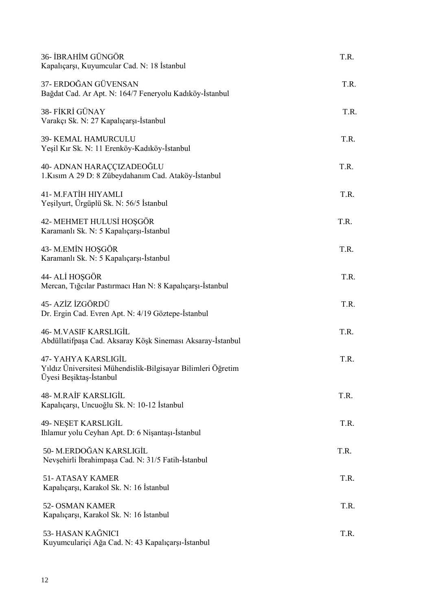| 36- İBRAHİM GÜNGÖR<br>Kapalıçarşı, Kuyumcular Cad. N: 18 İstanbul                                              | T.R. |
|----------------------------------------------------------------------------------------------------------------|------|
| 37- ERDOĞAN GÜVENSAN<br>Bağdat Cad. Ar Apt. N: 164/7 Feneryolu Kadıköy-İstanbul                                | T.R. |
| 38- FİKRİ GÜNAY<br>Varakçı Sk. N: 27 Kapalıçarşı-İstanbul                                                      | T.R. |
| 39- KEMAL HAMURCULU<br>Yeşil Kır Sk. N: 11 Erenköy-Kadıköy-İstanbul                                            | T.R. |
| 40- ADNAN HARAÇÇIZADEOĞLU<br>1. Kısım A 29 D: 8 Zübeydahanım Cad. Ataköy-İstanbul                              | T.R. |
| 41- M.FATİH HIYAMLI<br>Yeşilyurt, Ürgüplü Sk. N: 56/5 İstanbul                                                 | T.R. |
| 42- MEHMET HULUSİ HOŞGÖR<br>Karamanlı Sk. N: 5 Kapalıçarşı-İstanbul                                            | T.R. |
| 43- M.EMİN HOŞGÖR<br>Karamanlı Sk. N: 5 Kapalıçarşı-İstanbul                                                   | T.R. |
| 44- ALİ HOŞGÖR<br>Mercan, Tığcılar Pastırmacı Han N: 8 Kapalıçarşı-İstanbul                                    | T.R. |
| 45- AZİZ İZGÖRDÜ<br>Dr. Ergin Cad. Evren Apt. N: 4/19 Göztepe-İstanbul                                         | T.R. |
| <b>46- M.VASIF KARSLIGİL</b><br>Abdüllatifpaşa Cad. Aksaray Köşk Sineması Aksaray-İstanbul                     | T.R. |
| 47- YAHYA KARSLIGİL<br>Yıldız Üniversitesi Mühendislik-Bilgisayar Bilimleri Öğretim<br>Uyesi Beşiktaş-Istanbul | T.R. |
| <b>48- M.RAİF KARSLIGİL</b><br>Kapalıçarşı, Uncuoğlu Sk. N: 10-12 İstanbul                                     | T.R. |
| 49- NEŞET KARSLIGİL<br>Ihlamur yolu Ceyhan Apt. D: 6 Nişantaşı-İstanbul                                        | T.R. |
| 50- M.ERDOĞAN KARSLIGİL<br>Nevşehirli İbrahimpaşa Cad. N: 31/5 Fatih-İstanbul                                  | T.R. |
| <b>51- ATASAY KAMER</b><br>Kapalıçarşı, Karakol Sk. N: 16 İstanbul                                             | T.R. |
| 52- OSMAN KAMER<br>Kapalıçarşı, Karakol Sk. N: 16 İstanbul                                                     | T.R. |
| 53- HASAN KAĞNICI<br>Kuyumculariçi Ağa Cad. N: 43 Kapalıçarşı-İstanbul                                         | T.R. |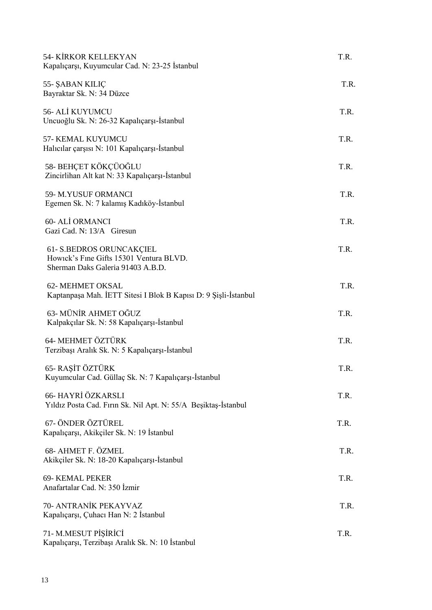| <b>54- KİRKOR KELLEKYAN</b><br>Kapalıçarşı, Kuyumcular Cad. N: 23-25 İstanbul                            | T.R. |
|----------------------------------------------------------------------------------------------------------|------|
| 55- ŞABAN KILIÇ<br>Bayraktar Sk. N: 34 Düzce                                                             | T.R. |
| 56- ALİ KUYUMCU<br>Uncuoğlu Sk. N: 26-32 Kapalıçarşı-İstanbul                                            | T.R. |
| 57- KEMAL KUYUMCU<br>Halicilar çarşısı N: 101 Kapalıçarşı-İstanbul                                       | T.R. |
| 58- BEHÇET KÖKÇÜOĞLU<br>Zincirlihan Alt kat N: 33 Kapalıçarşı-İstanbul                                   | T.R. |
| 59-M.YUSUF ORMANCI<br>Egemen Sk. N: 7 kalamış Kadıköy-İstanbul                                           | T.R. |
| 60- ALİ ORMANCI<br>Gazi Cad. N: 13/A Giresun                                                             | T.R. |
| 61- S.BEDROS ORUNCAKÇIEL<br>Howick's Fine Gifts 15301 Ventura BLVD.<br>Sherman Daks Galeria 91403 A.B.D. | T.R. |
| 62- MEHMET OKSAL<br>Kaptanpaşa Mah. İETT Sitesi I Blok B Kapısı D: 9 Şişli-İstanbul                      | T.R. |
| 63- MÜNİR AHMET OĞUZ<br>Kalpakçılar Sk. N: 58 Kapalıçarşı-İstanbul                                       | T.R. |
| 64- MEHMET ÖZTÜRK<br>Terzibaşı Aralık Sk. N: 5 Kapalıçarşı-İstanbul                                      | T.R. |
| 65- RAŞİT ÖZTÜRK<br>Kuyumcular Cad. Güllaç Sk. N: 7 Kapalıçarşı-İstanbul                                 | T.R. |
| 66- HAYRİ ÖZKARSLI<br>Yıldız Posta Cad. Fırın Sk. Nil Apt. N: 55/A Beşiktaş-İstanbul                     | T.R. |
| 67- ÖNDER ÖZTÜREL<br>Kapalıçarşı, Akikçiler Sk. N: 19 İstanbul                                           | T.R. |
| 68- AHMET F. ÖZMEL<br>Akikçiler Sk. N: 18-20 Kapalıçarşı-İstanbul                                        | T.R. |
| <b>69- KEMAL PEKER</b><br>Anafartalar Cad. N: 350 İzmir                                                  | T.R. |
| 70- ANTRANİK PEKAYVAZ<br>Kapalıçarşı, Çuhacı Han N: 2 İstanbul                                           | T.R. |
| 71- M.MESUT PİŞİRİCİ<br>Kapalıçarşı, Terzibaşı Aralık Sk. N: 10 İstanbul                                 | T.R. |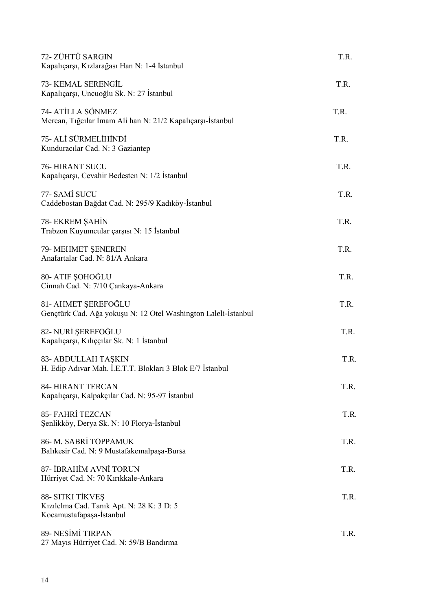| 72- ZÜHTÜ SARGIN<br>Kapalıçarşı, Kızlarağası Han N: 1-4 İstanbul                          | T.R. |
|-------------------------------------------------------------------------------------------|------|
| 73- KEMAL SERENGİL<br>Kapalıçarşı, Uncuoğlu Sk. N: 27 İstanbul                            | T.R. |
| 74- ATİLLA SÖNMEZ<br>Mercan, Tiğcilar İmam Ali han N: 21/2 Kapalıçarşı-İstanbul           | T.R. |
| 75- ALİ SÜRMELİHİNDİ<br>Kunduracılar Cad. N: 3 Gaziantep                                  | T.R. |
| <b>76- HIRANT SUCU</b><br>Kapalıçarşı, Cevahir Bedesten N: 1/2 İstanbul                   | T.R. |
| 77- SAMİ SUCU<br>Caddebostan Bağdat Cad. N: 295/9 Kadıköy-İstanbul                        | T.R. |
| 78- EKREM ŞAHİN<br>Trabzon Kuyumcular çarşısı N: 15 İstanbul                              | T.R. |
| 79- MEHMET ŞENEREN<br>Anafartalar Cad. N: 81/A Ankara                                     | T.R. |
| 80- ATIF ŞOHOĞLU<br>Cinnah Cad. N: 7/10 Çankaya-Ankara                                    | T.R. |
| 81- AHMET ŞEREFOĞLU<br>Gençtürk Cad. Ağa yokuşu N: 12 Otel Washington Laleli-İstanbul     | T.R. |
| 82- NURİ ŞEREFOĞLU<br>Kapalıçarşı, Kılıççılar Sk. N: 1 İstanbul                           | T.R. |
| 83- ABDULLAH TAŞKIN<br>H. Edip Adıvar Mah. İ.E.T.T. Blokları 3 Blok E/7 İstanbul          | T.R. |
| <b>84- HIRANT TERCAN</b><br>Kapalıçarşı, Kalpakçılar Cad. N: 95-97 İstanbul               | T.R. |
| <b>85- FAHRİ TEZCAN</b><br>Şenlikköy, Derya Sk. N: 10 Florya-İstanbul                     | T.R. |
| 86- M. SABRİ TOPPAMUK<br>Balıkesir Cad. N: 9 Mustafakemalpaşa-Bursa                       | T.R. |
| 87- İBRAHİM AVNİ TORUN<br>Hürriyet Cad. N: 70 Kırıkkale-Ankara                            | T.R. |
| 88- SITKI TİKVEŞ<br>Kızılelma Cad. Tanık Apt. N: 28 K: 3 D: 5<br>Kocamustafapaşa-İstanbul | T.R. |
| 89- NESİMİ TIRPAN<br>27 Mayıs Hürriyet Cad. N: 59/B Bandırma                              | T.R. |